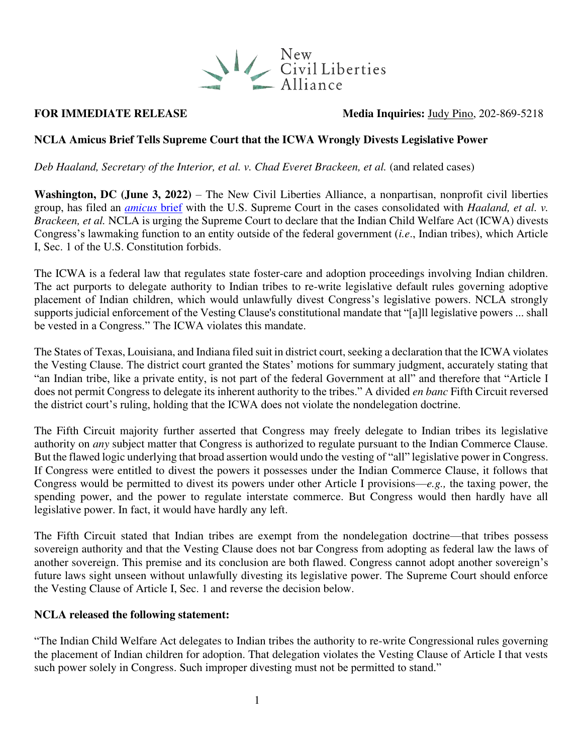

# **FOR IMMEDIATE RELEASE** Media Inquiries: [Judy Pino,](mailto:judy.pino@ncla.legal) 202-869-5218

# **NCLA Amicus Brief Tells Supreme Court that the ICWA Wrongly Divests Legislative Power**

*Deb Haaland, Secretary of the Interior, et al. v. Chad Everet Brackeen, et al. (and related cases)* 

**Washington, DC (June 3, 2022)** – The New Civil Liberties Alliance, a nonpartisan, nonprofit civil liberties group, has filed an *[amicus](https://nclalegal.org/wp-content/uploads/2022/06/20220602161037969_21-378_Amicus_NCLA_Supp._Pet..pdf)* brief with the U.S. Supreme Court in the cases consolidated with *Haaland, et al. v. Brackeen, et al.* NCLA is urging the Supreme Court to declare that the Indian Child Welfare Act (ICWA) divests Congress's lawmaking function to an entity outside of the federal government (*i.e*., Indian tribes), which Article I, Sec. 1 of the U.S. Constitution forbids.

The ICWA is a federal law that regulates state foster-care and adoption proceedings involving Indian children. The act purports to delegate authority to Indian tribes to re-write legislative default rules governing adoptive placement of Indian children, which would unlawfully divest Congress's legislative powers. NCLA strongly supports judicial enforcement of the Vesting Clause's constitutional mandate that "[a]ll legislative powers ... shall be vested in a Congress." The ICWA violates this mandate.

The States of Texas, Louisiana, and Indiana filed suit in district court, seeking a declaration that the ICWA violates the Vesting Clause. The district court granted the States' motions for summary judgment, accurately stating that "an Indian tribe, like a private entity, is not part of the federal Government at all" and therefore that "Article I does not permit Congress to delegate its inherent authority to the tribes." A divided *en banc* Fifth Circuit reversed the district court's ruling, holding that the ICWA does not violate the nondelegation doctrine.

The Fifth Circuit majority further asserted that Congress may freely delegate to Indian tribes its legislative authority on *any* subject matter that Congress is authorized to regulate pursuant to the Indian Commerce Clause. But the flawed logic underlying that broad assertion would undo the vesting of "all" legislative power in Congress. If Congress were entitled to divest the powers it possesses under the Indian Commerce Clause, it follows that Congress would be permitted to divest its powers under other Article I provisions—*e.g.,* the taxing power, the spending power, and the power to regulate interstate commerce. But Congress would then hardly have all legislative power. In fact, it would have hardly any left.

The Fifth Circuit stated that Indian tribes are exempt from the nondelegation doctrine—that tribes possess sovereign authority and that the Vesting Clause does not bar Congress from adopting as federal law the laws of another sovereign. This premise and its conclusion are both flawed. Congress cannot adopt another sovereign's future laws sight unseen without unlawfully divesting its legislative power. The Supreme Court should enforce the Vesting Clause of Article I, Sec. 1 and reverse the decision below.

## **NCLA released the following statement:**

"The Indian Child Welfare Act delegates to Indian tribes the authority to re-write Congressional rules governing the placement of Indian children for adoption. That delegation violates the Vesting Clause of Article I that vests such power solely in Congress. Such improper divesting must not be permitted to stand."